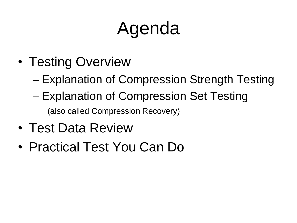# Agenda

- Testing Overview
	- Explanation of Compression Strength Testing
	- Explanation of Compression Set Testing (also called Compression Recovery)
- Test Data Review
- Practical Test You Can Do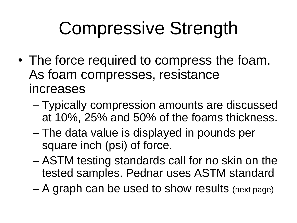## Compressive Strength

- The force required to compress the foam. As foam compresses, resistance increases
	- Typically compression amounts are discussed at 10%, 25% and 50% of the foams thickness.
	- The data value is displayed in pounds per square inch (psi) of force.
	- ASTM testing standards call for no skin on the tested samples. Pednar uses ASTM standard
	- A graph can be used to show results (next page)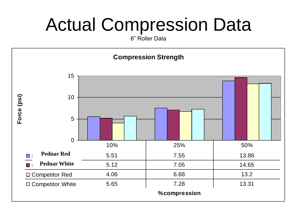### Actual Compression Data

6" Roller Data

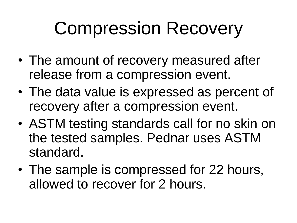## Compression Recovery

- The amount of recovery measured after release from a compression event.
- The data value is expressed as percent of recovery after a compression event.
- ASTM testing standards call for no skin on the tested samples. Pednar uses ASTM standard.
- The sample is compressed for 22 hours, allowed to recover for 2 hours.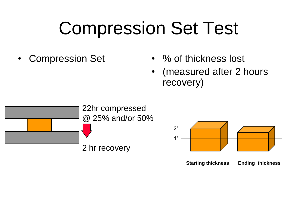### Compression Set Test

- 
- Compression Set % of thickness lost
	- (measured after 2 hours recovery)



**Starting thickness Ending thickness**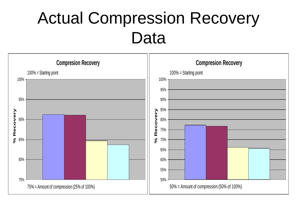#### Actual Compression Recovery Data

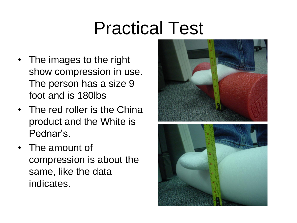### Practical Test

- The images to the right show compression in use. The person has a size 9 foot and is 180lbs
- The red roller is the China product and the White is Pednar's.
- The amount of compression is about the same, like the data indicates.

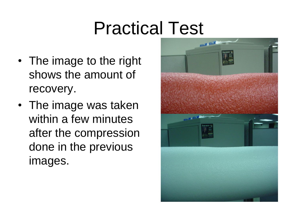### Practical Test

- The image to the right shows the amount of recovery.
- The image was taken within a few minutes after the compression done in the previous images.

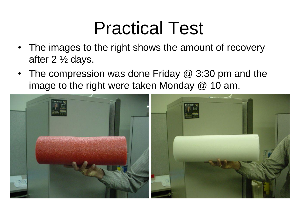### Practical Test

- The images to the right shows the amount of recovery after 2 ½ days.
- The compression was done Friday @ 3:30 pm and the image to the right were taken Monday @ 10 am.